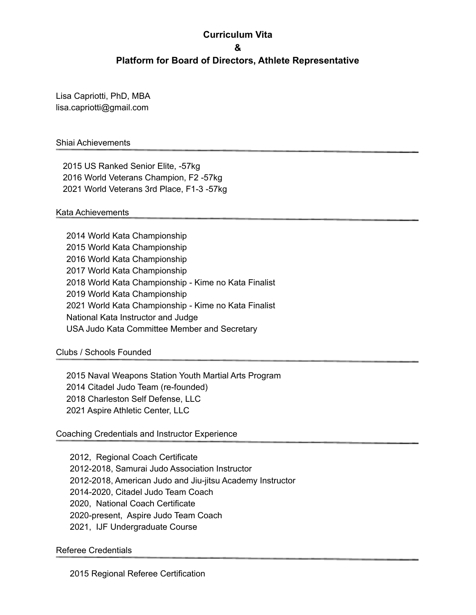### **Curriculum Vita**

**&**

#### **Platform for Board of Directors, Athlete Representative**

Lisa Capriotti, PhD, MBA lisa.capriotti@gmail.com

### Shiai Achievements

2015 US Ranked Senior Elite, -57kg 2016 World Veterans Champion, F2 -57kg 2021 World Veterans 3rd Place, F1-3 -57kg

#### Kata Achievements

 World Kata Championship World Kata Championship World Kata Championship World Kata Championship World Kata Championship - Kime no Kata Finalist World Kata Championship World Kata Championship - Kime no Kata Finalist National Kata Instructor and Judge USA Judo Kata Committee Member and Secretary

Clubs / Schools Founded

 Naval Weapons Station Youth Martial Arts Program Citadel Judo Team (re-founded) Charleston Self Defense, LLC Aspire Athletic Center, LLC

#### Coaching Credentials and Instructor Experience

2012, Regional Coach Certificate 2012-2018, Samurai Judo Association Instructor 2012-2018, American Judo and Jiu-jitsu Academy Instructor 2014-2020, Citadel Judo Team Coach 2020, National Coach Certificate 2020-present, Aspire Judo Team Coach 2021, IJF Undergraduate Course

#### Referee Credentials

2015 Regional Referee Certification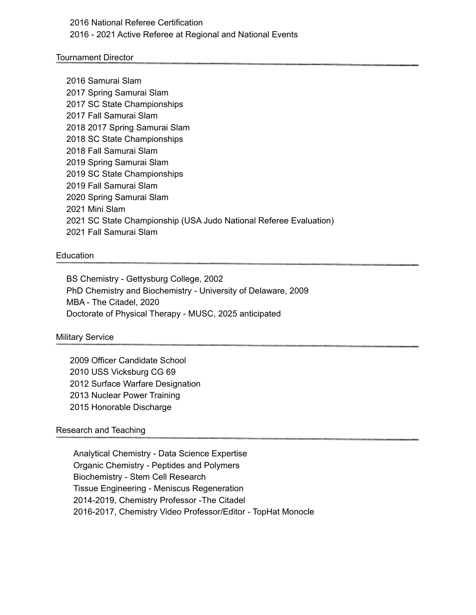## 2016 National Referee Certification 2016 - 2021 Active Referee at Regional and National Events

#### Tournament Director

 Samurai Slam Spring Samurai Slam SC State Championships Fall Samurai Slam 2017 Spring Samurai Slam SC State Championships Fall Samurai Slam Spring Samurai Slam SC State Championships Fall Samurai Slam Spring Samurai Slam Mini Slam SC State Championship (USA Judo National Referee Evaluation) Fall Samurai Slam

#### Education

BS Chemistry - Gettysburg College, 2002 PhD Chemistry and Biochemistry - University of Delaware, 2009 MBA - The Citadel, 2020 Doctorate of Physical Therapy - MUSC, 2025 anticipated

#### Military Service

 Officer Candidate School USS Vicksburg CG 69 Surface Warfare Designation Nuclear Power Training Honorable Discharge

#### Research and Teaching

Analytical Chemistry - Data Science Expertise Organic Chemistry - Peptides and Polymers Biochemistry - Stem Cell Research Tissue Engineering - Meniscus Regeneration 2014-2019, Chemistry Professor -The Citadel 2016-2017, Chemistry Video Professor/Editor - TopHat Monocle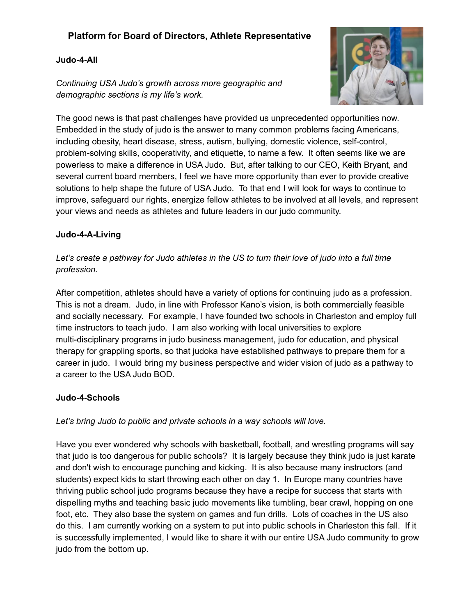# **Platform for Board of Directors, Athlete Representative**

### **Judo-4-All**

*Continuing USA Judo's growth across more geographic and demographic sections is my life's work.*



The good news is that past challenges have provided us unprecedented opportunities now. Embedded in the study of judo is the answer to many common problems facing Americans, including obesity, heart disease, stress, autism, bullying, domestic violence, self-control, problem-solving skills, cooperativity, and etiquette, to name a few. It often seems like we are powerless to make a difference in USA Judo. But, after talking to our CEO, Keith Bryant, and several current board members, I feel we have more opportunity than ever to provide creative solutions to help shape the future of USA Judo. To that end I will look for ways to continue to improve, safeguard our rights, energize fellow athletes to be involved at all levels, and represent your views and needs as athletes and future leaders in our judo community.

### **Judo-4-A-Living**

# Let's create a pathway for Judo athletes in the US to turn their love of judo into a full time *profession.*

After competition, athletes should have a variety of options for continuing judo as a profession. This is not a dream. Judo, in line with Professor Kano's vision, is both commercially feasible and socially necessary. For example, I have founded two schools in Charleston and employ full time instructors to teach judo. I am also working with local universities to explore multi-disciplinary programs in judo business management, judo for education, and physical therapy for grappling sports, so that judoka have established pathways to prepare them for a career in judo. I would bring my business perspective and wider vision of judo as a pathway to a career to the USA Judo BOD.

### **Judo-4-Schools**

### *Let's bring Judo to public and private schools in a way schools will love.*

Have you ever wondered why schools with basketball, football, and wrestling programs will say that judo is too dangerous for public schools? It is largely because they think judo is just karate and don't wish to encourage punching and kicking. It is also because many instructors (and students) expect kids to start throwing each other on day 1. In Europe many countries have thriving public school judo programs because they have a recipe for success that starts with dispelling myths and teaching basic judo movements like tumbling, bear crawl, hopping on one foot, etc. They also base the system on games and fun drills. Lots of coaches in the US also do this. I am currently working on a system to put into public schools in Charleston this fall. If it is successfully implemented, I would like to share it with our entire USA Judo community to grow judo from the bottom up.